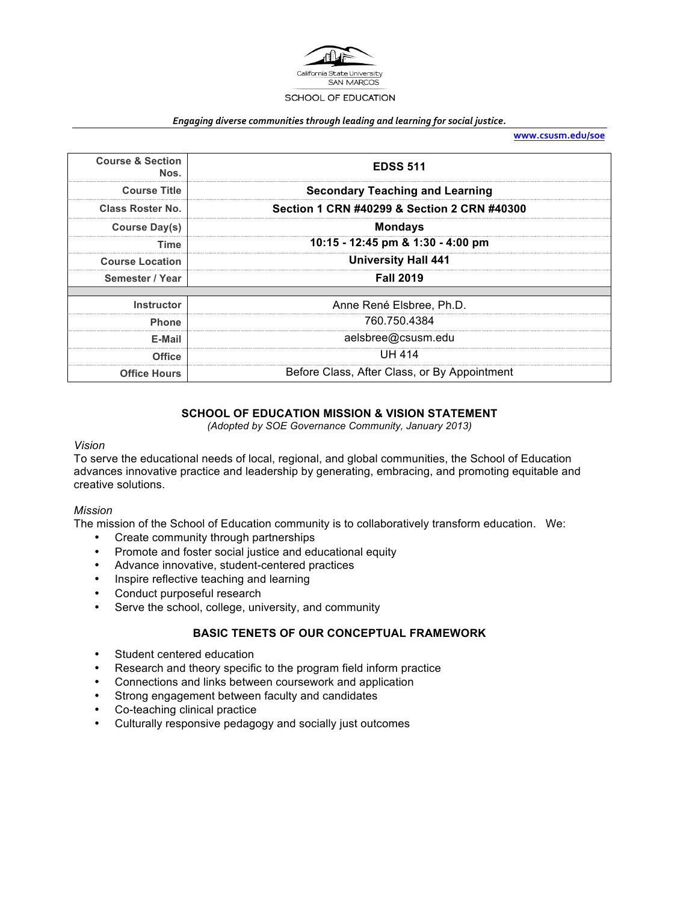

#### Engaging diverse communities through leading and learning for social justice.

**www.csusm.edu/soe**

| <b>Course &amp; Section</b><br>Nos. | <b>EDSS 511</b>                              |
|-------------------------------------|----------------------------------------------|
| <b>Course Title</b>                 | <b>Secondary Teaching and Learning</b>       |
| <b>Class Roster No.</b>             | Section 1 CRN #40299 & Section 2 CRN #40300  |
| Course Day(s)                       | <b>Mondays</b>                               |
| <b>Time</b>                         | 10:15 - 12:45 pm & 1:30 - 4:00 pm            |
| <b>Course Location</b>              | <b>University Hall 441</b>                   |
| Semester / Year                     | <b>Fall 2019</b>                             |
| <b>Instructor</b>                   | Anne René Elsbree, Ph.D.                     |
| <b>Phone</b>                        | 760.750.4384                                 |
| E-Mail                              | aelsbree@csusm.edu                           |
| <b>Office</b>                       | <b>UH 414</b>                                |
| <b>Office Hours</b>                 | Before Class, After Class, or By Appointment |

#### **SCHOOL OF EDUCATION MISSION & VISION STATEMENT**

*(Adopted by SOE Governance Community, January 2013)*

#### *Vision*

To serve the educational needs of local, regional, and global communities, the School of Education advances innovative practice and leadership by generating, embracing, and promoting equitable and creative solutions.

#### *Mission*

The mission of the School of Education community is to collaboratively transform education. We:

- Create community through partnerships
- Promote and foster social justice and educational equity
- Advance innovative, student-centered practices
- Inspire reflective teaching and learning
- Conduct purposeful research
- Serve the school, college, university, and community

#### **BASIC TENETS OF OUR CONCEPTUAL FRAMEWORK**

- Student centered education
- Research and theory specific to the program field inform practice
- Connections and links between coursework and application
- Strong engagement between faculty and candidates
- Co-teaching clinical practice
- Culturally responsive pedagogy and socially just outcomes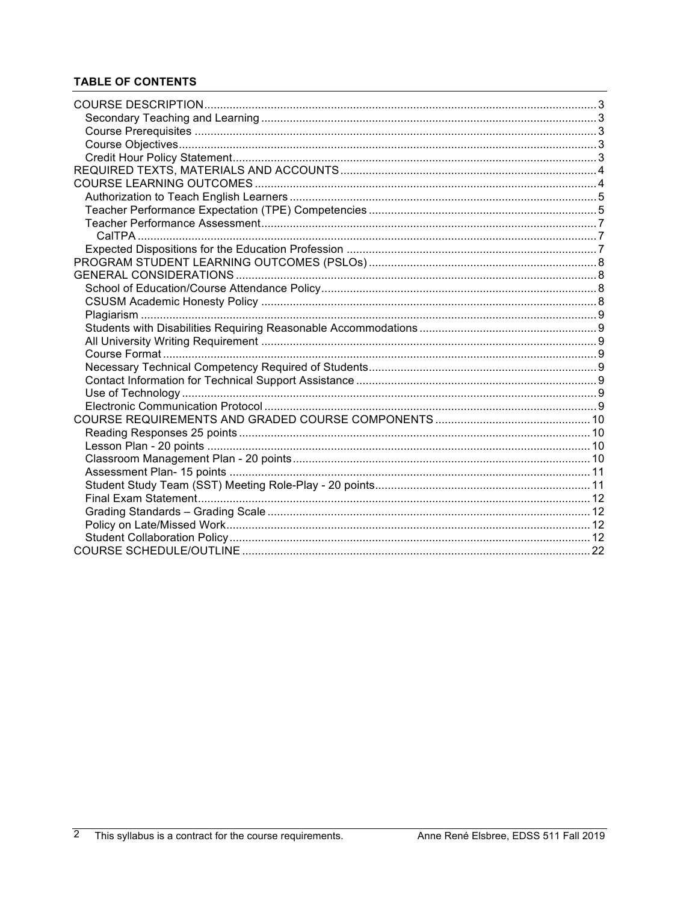# **TABLE OF CONTENTS**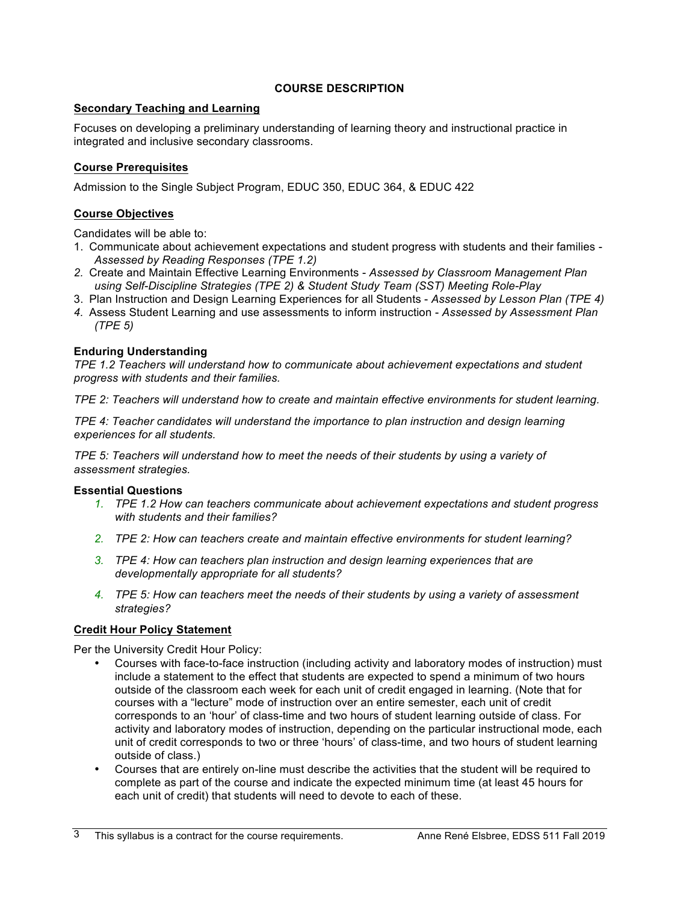## **COURSE DESCRIPTION**

## **Secondary Teaching and Learning**

Focuses on developing a preliminary understanding of learning theory and instructional practice in integrated and inclusive secondary classrooms.

## **Course Prerequisites**

Admission to the Single Subject Program, EDUC 350, EDUC 364, & EDUC 422

## **Course Objectives**

Candidates will be able to:

- 1. Communicate about achievement expectations and student progress with students and their families *Assessed by Reading Responses (TPE 1.2)*
- *2.* Create and Maintain Effective Learning Environments *Assessed by Classroom Management Plan using Self-Discipline Strategies (TPE 2) & Student Study Team (SST) Meeting Role-Play*
- 3. Plan Instruction and Design Learning Experiences for all Students *Assessed by Lesson Plan (TPE 4)*
- *4.* Assess Student Learning and use assessments to inform instruction *Assessed by Assessment Plan (TPE 5)*

## **Enduring Understanding**

*TPE 1.2 Teachers will understand how to communicate about achievement expectations and student progress with students and their families.*

*TPE 2: Teachers will understand how to create and maintain effective environments for student learning.*

*TPE 4: Teacher candidates will understand the importance to plan instruction and design learning experiences for all students.* 

*TPE 5: Teachers will understand how to meet the needs of their students by using a variety of assessment strategies.*

## **Essential Questions**

- *1. TPE 1.2 How can teachers communicate about achievement expectations and student progress with students and their families?*
- *2. TPE 2: How can teachers create and maintain effective environments for student learning?*
- *3. TPE 4: How can teachers plan instruction and design learning experiences that are developmentally appropriate for all students?*
- *4. TPE 5: How can teachers meet the needs of their students by using a variety of assessment strategies?*

## **Credit Hour Policy Statement**

Per the University Credit Hour Policy:

- Courses with face-to-face instruction (including activity and laboratory modes of instruction) must include a statement to the effect that students are expected to spend a minimum of two hours outside of the classroom each week for each unit of credit engaged in learning. (Note that for courses with a "lecture" mode of instruction over an entire semester, each unit of credit corresponds to an 'hour' of class-time and two hours of student learning outside of class. For activity and laboratory modes of instruction, depending on the particular instructional mode, each unit of credit corresponds to two or three 'hours' of class-time, and two hours of student learning outside of class.)
- Courses that are entirely on-line must describe the activities that the student will be required to complete as part of the course and indicate the expected minimum time (at least 45 hours for each unit of credit) that students will need to devote to each of these.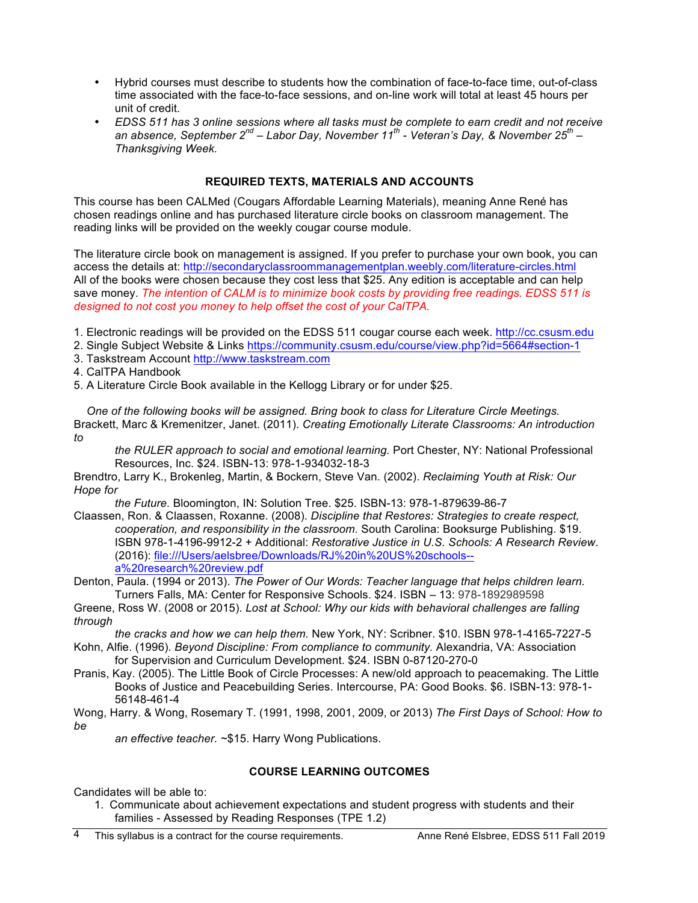- Hybrid courses must describe to students how the combination of face-to-face time, out-of-class time associated with the face-to-face sessions, and on-line work will total at least 45 hours per unit of credit.
- *EDSS 511 has 3 online sessions where all tasks must be complete to earn credit and not receive an absence, September 2nd – Labor Day, November 11th - Veteran's Day, & November 25th – Thanksgiving Week.*

## **REQUIRED TEXTS, MATERIALS AND ACCOUNTS**

This course has been CALMed (Cougars Affordable Learning Materials), meaning Anne René has chosen readings online and has purchased literature circle books on classroom management. The reading links will be provided on the weekly cougar course module.

The literature circle book on management is assigned. If you prefer to purchase your own book, you can access the details at: http://secondaryclassroommanagementplan.weebly.com/literature-circles.html All of the books were chosen because they cost less that \$25. Any edition is acceptable and can help save money. *The intention of CALM is to minimize book costs by providing free readings. EDSS 511 is designed to not cost you money to help offset the cost of your CalTPA.*

- 1. Electronic readings will be provided on the EDSS 511 cougar course each week. http://cc.csusm.edu
- 2. Single Subject Website & Links https://community.csusm.edu/course/view.php?id=5664#section-1
- 3. Taskstream Account http://www.taskstream.com

4. CalTPA Handbook

5. A Literature Circle Book available in the Kellogg Library or for under \$25.

 *One of the following books will be assigned. Bring book to class for Literature Circle Meetings.* Brackett, Marc & Kremenitzer, Janet. (2011). *Creating Emotionally Literate Classrooms: An introduction to* 

*the RULER approach to social and emotional learning.* Port Chester, NY: National Professional Resources, Inc. \$24. ISBN-13: 978-1-934032-18-3

Brendtro, Larry K., Brokenleg, Martin, & Bockern, Steve Van. (2002). *Reclaiming Youth at Risk: Our Hope for* 

*the Future.* Bloomington, IN: Solution Tree. \$25. ISBN-13: 978-1-879639-86-7

Claassen, Ron. & Claassen, Roxanne. (2008). *Discipline that Restores: Strategies to create respect, cooperation, and responsibility in the classroom.* South Carolina: Booksurge Publishing. \$19. ISBN 978-1-4196-9912-2 + Additional: *Restorative Justice in U.S. Schools: A Research Review*. (2016): file:///Users/aelsbree/Downloads/RJ%20in%20US%20schools- a%20research%20review.pdf

Denton, Paula. (1994 or 2013). *The Power of Our Words: Teacher language that helps children learn.* Turners Falls, MA: Center for Responsive Schools. \$24. ISBN – 13: 978-1892989598

Greene, Ross W. (2008 or 2015). *Lost at School: Why our kids with behavioral challenges are falling through* 

*the cracks and how we can help them.* New York, NY: Scribner. \$10. ISBN 978-1-4165-7227-5

Kohn, Alfie. (1996). *Beyond Discipline: From compliance to community.* Alexandria, VA: Association for Supervision and Curriculum Development. \$24. ISBN 0-87120-270-0

Pranis, Kay. (2005). The Little Book of Circle Processes: A new/old approach to peacemaking. The Little Books of Justice and Peacebuilding Series. Intercourse, PA: Good Books. \$6. ISBN-13: 978-1- 56148-461-4

Wong, Harry. & Wong, Rosemary T. (1991, 1998, 2001, 2009, or 2013) *The First Days of School: How to be* 

*an effective teacher. ~*\$15. Harry Wong Publications.

## **COURSE LEARNING OUTCOMES**

Candidates will be able to:

1. Communicate about achievement expectations and student progress with students and their families - Assessed by Reading Responses (TPE 1.2)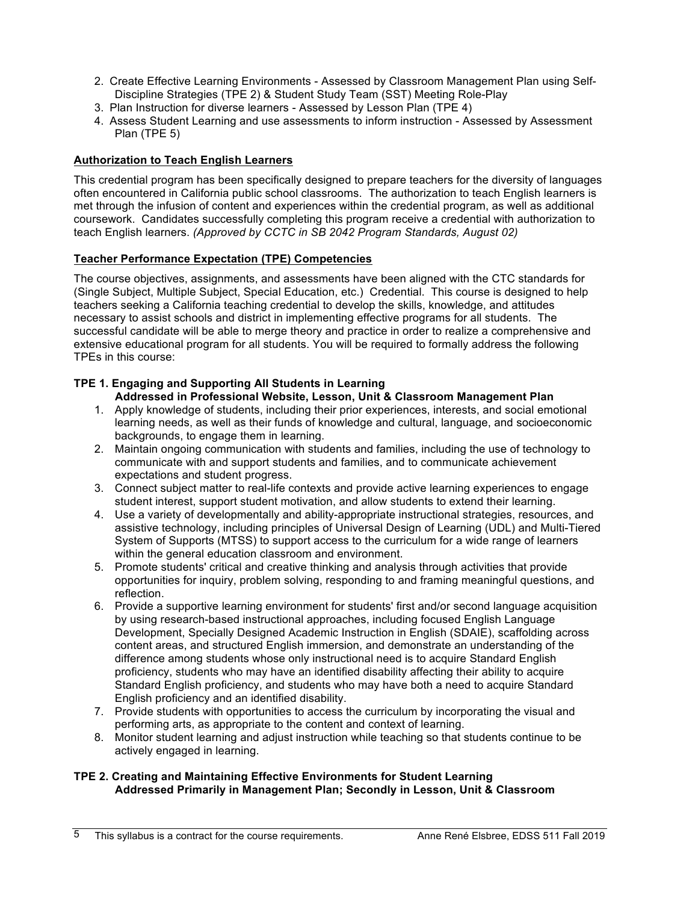- 2. Create Effective Learning Environments Assessed by Classroom Management Plan using Self-Discipline Strategies (TPE 2) & Student Study Team (SST) Meeting Role-Play
- 3. Plan Instruction for diverse learners Assessed by Lesson Plan (TPE 4)
- 4. Assess Student Learning and use assessments to inform instruction Assessed by Assessment Plan (TPE 5)

## **Authorization to Teach English Learners**

This credential program has been specifically designed to prepare teachers for the diversity of languages often encountered in California public school classrooms. The authorization to teach English learners is met through the infusion of content and experiences within the credential program, as well as additional coursework. Candidates successfully completing this program receive a credential with authorization to teach English learners. *(Approved by CCTC in SB 2042 Program Standards, August 02)*

## **Teacher Performance Expectation (TPE) Competencies**

The course objectives, assignments, and assessments have been aligned with the CTC standards for (Single Subject, Multiple Subject, Special Education, etc.) Credential. This course is designed to help teachers seeking a California teaching credential to develop the skills, knowledge, and attitudes necessary to assist schools and district in implementing effective programs for all students. The successful candidate will be able to merge theory and practice in order to realize a comprehensive and extensive educational program for all students. You will be required to formally address the following TPEs in this course:

## **TPE 1. Engaging and Supporting All Students in Learning**

## **Addressed in Professional Website, Lesson, Unit & Classroom Management Plan**

- 1. Apply knowledge of students, including their prior experiences, interests, and social emotional learning needs, as well as their funds of knowledge and cultural, language, and socioeconomic backgrounds, to engage them in learning.
- 2. Maintain ongoing communication with students and families, including the use of technology to communicate with and support students and families, and to communicate achievement expectations and student progress.
- 3. Connect subject matter to real-life contexts and provide active learning experiences to engage student interest, support student motivation, and allow students to extend their learning.
- 4. Use a variety of developmentally and ability-appropriate instructional strategies, resources, and assistive technology, including principles of Universal Design of Learning (UDL) and Multi-Tiered System of Supports (MTSS) to support access to the curriculum for a wide range of learners within the general education classroom and environment.
- 5. Promote students' critical and creative thinking and analysis through activities that provide opportunities for inquiry, problem solving, responding to and framing meaningful questions, and reflection.
- 6. Provide a supportive learning environment for students' first and/or second language acquisition by using research-based instructional approaches, including focused English Language Development, Specially Designed Academic Instruction in English (SDAIE), scaffolding across content areas, and structured English immersion, and demonstrate an understanding of the difference among students whose only instructional need is to acquire Standard English proficiency, students who may have an identified disability affecting their ability to acquire Standard English proficiency, and students who may have both a need to acquire Standard English proficiency and an identified disability.
- 7. Provide students with opportunities to access the curriculum by incorporating the visual and performing arts, as appropriate to the content and context of learning.
- 8. Monitor student learning and adjust instruction while teaching so that students continue to be actively engaged in learning.

#### **TPE 2. Creating and Maintaining Effective Environments for Student Learning Addressed Primarily in Management Plan; Secondly in Lesson, Unit & Classroom**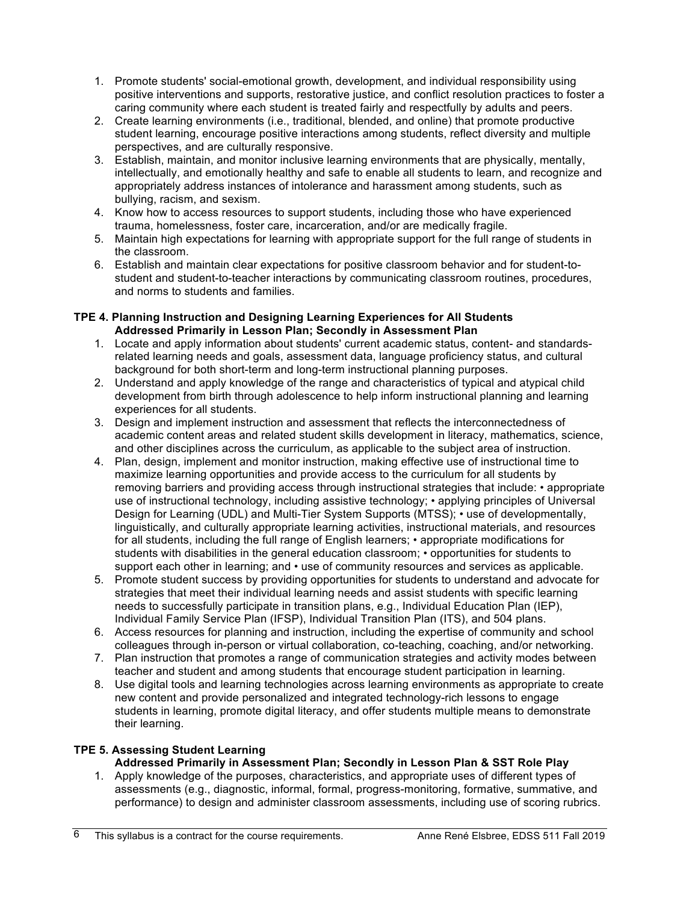- 1. Promote students' social-emotional growth, development, and individual responsibility using positive interventions and supports, restorative justice, and conflict resolution practices to foster a caring community where each student is treated fairly and respectfully by adults and peers.
- 2. Create learning environments (i.e., traditional, blended, and online) that promote productive student learning, encourage positive interactions among students, reflect diversity and multiple perspectives, and are culturally responsive.
- 3. Establish, maintain, and monitor inclusive learning environments that are physically, mentally, intellectually, and emotionally healthy and safe to enable all students to learn, and recognize and appropriately address instances of intolerance and harassment among students, such as bullying, racism, and sexism.
- 4. Know how to access resources to support students, including those who have experienced trauma, homelessness, foster care, incarceration, and/or are medically fragile.
- 5. Maintain high expectations for learning with appropriate support for the full range of students in the classroom.
- 6. Establish and maintain clear expectations for positive classroom behavior and for student-tostudent and student-to-teacher interactions by communicating classroom routines, procedures, and norms to students and families.

#### **TPE 4. Planning Instruction and Designing Learning Experiences for All Students Addressed Primarily in Lesson Plan; Secondly in Assessment Plan**

- 1. Locate and apply information about students' current academic status, content- and standardsrelated learning needs and goals, assessment data, language proficiency status, and cultural background for both short-term and long-term instructional planning purposes.
- 2. Understand and apply knowledge of the range and characteristics of typical and atypical child development from birth through adolescence to help inform instructional planning and learning experiences for all students.
- 3. Design and implement instruction and assessment that reflects the interconnectedness of academic content areas and related student skills development in literacy, mathematics, science, and other disciplines across the curriculum, as applicable to the subject area of instruction.
- 4. Plan, design, implement and monitor instruction, making effective use of instructional time to maximize learning opportunities and provide access to the curriculum for all students by removing barriers and providing access through instructional strategies that include: • appropriate use of instructional technology, including assistive technology; • applying principles of Universal Design for Learning (UDL) and Multi-Tier System Supports (MTSS); • use of developmentally, linguistically, and culturally appropriate learning activities, instructional materials, and resources for all students, including the full range of English learners; • appropriate modifications for students with disabilities in the general education classroom; • opportunities for students to support each other in learning; and  $\cdot$  use of community resources and services as applicable.
- 5. Promote student success by providing opportunities for students to understand and advocate for strategies that meet their individual learning needs and assist students with specific learning needs to successfully participate in transition plans, e.g., Individual Education Plan (IEP), Individual Family Service Plan (IFSP), Individual Transition Plan (ITS), and 504 plans.
- 6. Access resources for planning and instruction, including the expertise of community and school colleagues through in-person or virtual collaboration, co-teaching, coaching, and/or networking.
- 7. Plan instruction that promotes a range of communication strategies and activity modes between teacher and student and among students that encourage student participation in learning.
- 8. Use digital tools and learning technologies across learning environments as appropriate to create new content and provide personalized and integrated technology-rich lessons to engage students in learning, promote digital literacy, and offer students multiple means to demonstrate their learning.

# **TPE 5. Assessing Student Learning**

# **Addressed Primarily in Assessment Plan; Secondly in Lesson Plan & SST Role Play**

1. Apply knowledge of the purposes, characteristics, and appropriate uses of different types of assessments (e.g., diagnostic, informal, formal, progress-monitoring, formative, summative, and performance) to design and administer classroom assessments, including use of scoring rubrics.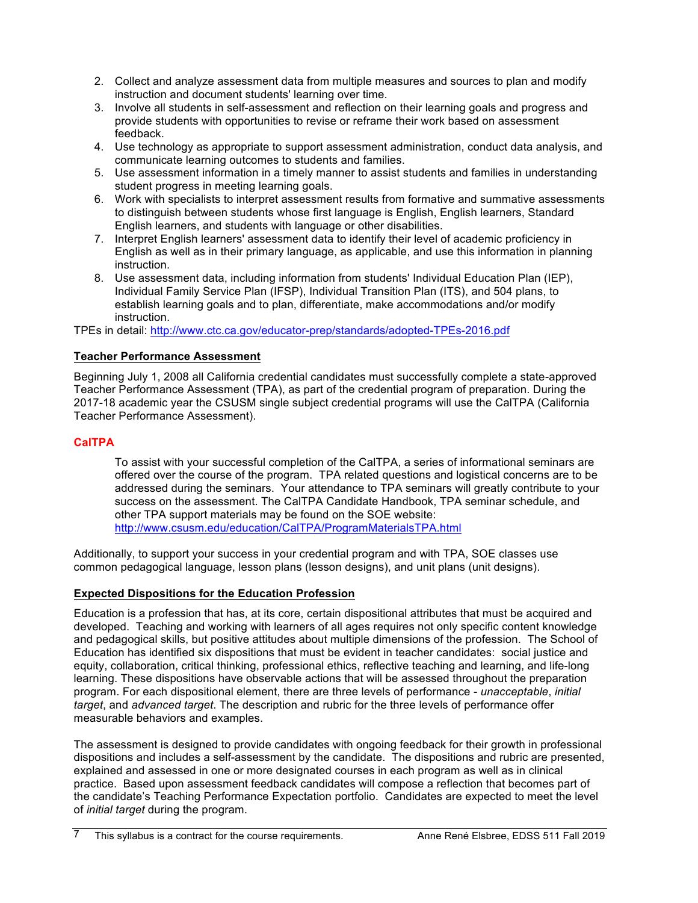- 2. Collect and analyze assessment data from multiple measures and sources to plan and modify instruction and document students' learning over time.
- 3. Involve all students in self-assessment and reflection on their learning goals and progress and provide students with opportunities to revise or reframe their work based on assessment feedback.
- 4. Use technology as appropriate to support assessment administration, conduct data analysis, and communicate learning outcomes to students and families.
- 5. Use assessment information in a timely manner to assist students and families in understanding student progress in meeting learning goals.
- 6. Work with specialists to interpret assessment results from formative and summative assessments to distinguish between students whose first language is English, English learners, Standard English learners, and students with language or other disabilities.
- 7. Interpret English learners' assessment data to identify their level of academic proficiency in English as well as in their primary language, as applicable, and use this information in planning instruction.
- 8. Use assessment data, including information from students' Individual Education Plan (IEP), Individual Family Service Plan (IFSP), Individual Transition Plan (ITS), and 504 plans, to establish learning goals and to plan, differentiate, make accommodations and/or modify instruction.

TPEs in detail: http://www.ctc.ca.gov/educator-prep/standards/adopted-TPEs-2016.pdf

# **Teacher Performance Assessment**

Beginning July 1, 2008 all California credential candidates must successfully complete a state-approved Teacher Performance Assessment (TPA), as part of the credential program of preparation. During the 2017-18 academic year the CSUSM single subject credential programs will use the CalTPA (California Teacher Performance Assessment).

# **CalTPA**

To assist with your successful completion of the CalTPA, a series of informational seminars are offered over the course of the program. TPA related questions and logistical concerns are to be addressed during the seminars. Your attendance to TPA seminars will greatly contribute to your success on the assessment. The CalTPA Candidate Handbook, TPA seminar schedule, and other TPA support materials may be found on the SOE website: http://www.csusm.edu/education/CalTPA/ProgramMaterialsTPA.html

Additionally, to support your success in your credential program and with TPA, SOE classes use common pedagogical language, lesson plans (lesson designs), and unit plans (unit designs).

# **Expected Dispositions for the Education Profession**

Education is a profession that has, at its core, certain dispositional attributes that must be acquired and developed. Teaching and working with learners of all ages requires not only specific content knowledge and pedagogical skills, but positive attitudes about multiple dimensions of the profession. The School of Education has identified six dispositions that must be evident in teacher candidates: social justice and equity, collaboration, critical thinking, professional ethics, reflective teaching and learning, and life-long learning. These dispositions have observable actions that will be assessed throughout the preparation program. For each dispositional element, there are three levels of performance - *unacceptable*, *initial target*, and *advanced target*. The description and rubric for the three levels of performance offer measurable behaviors and examples.

The assessment is designed to provide candidates with ongoing feedback for their growth in professional dispositions and includes a self-assessment by the candidate. The dispositions and rubric are presented, explained and assessed in one or more designated courses in each program as well as in clinical practice. Based upon assessment feedback candidates will compose a reflection that becomes part of the candidate's Teaching Performance Expectation portfolio. Candidates are expected to meet the level of *initial target* during the program.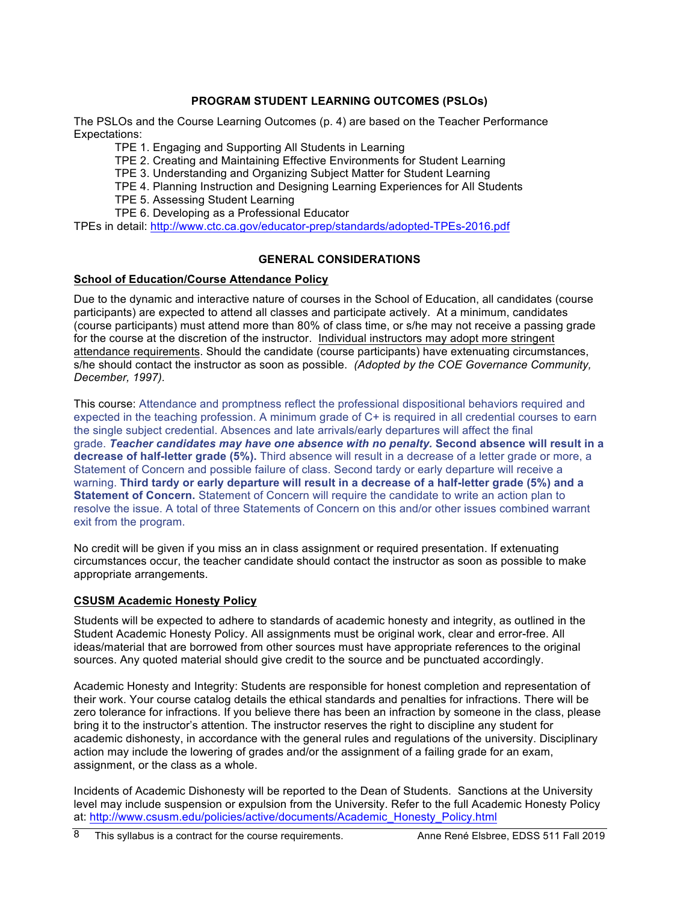## **PROGRAM STUDENT LEARNING OUTCOMES (PSLOs)**

The PSLOs and the Course Learning Outcomes (p. 4) are based on the Teacher Performance Expectations:

TPE 1. Engaging and Supporting All Students in Learning

TPE 2. Creating and Maintaining Effective Environments for Student Learning

TPE 3. Understanding and Organizing Subject Matter for Student Learning

TPE 4. Planning Instruction and Designing Learning Experiences for All Students

TPE 5. Assessing Student Learning

TPE 6. Developing as a Professional Educator

TPEs in detail: http://www.ctc.ca.gov/educator-prep/standards/adopted-TPEs-2016.pdf

## **GENERAL CONSIDERATIONS**

## **School of Education/Course Attendance Policy**

Due to the dynamic and interactive nature of courses in the School of Education, all candidates (course participants) are expected to attend all classes and participate actively. At a minimum, candidates (course participants) must attend more than 80% of class time, or s/he may not receive a passing grade for the course at the discretion of the instructor. Individual instructors may adopt more stringent attendance requirements. Should the candidate (course participants) have extenuating circumstances, s/he should contact the instructor as soon as possible. *(Adopted by the COE Governance Community, December, 1997).*

This course: Attendance and promptness reflect the professional dispositional behaviors required and expected in the teaching profession. A minimum grade of C+ is required in all credential courses to earn the single subject credential. Absences and late arrivals/early departures will affect the final grade. *Teacher candidates may have one absence with no penalty.* **Second absence will result in a decrease of half-letter grade (5%).** Third absence will result in a decrease of a letter grade or more, a Statement of Concern and possible failure of class. Second tardy or early departure will receive a warning. **Third tardy or early departure will result in a decrease of a half-letter grade (5%) and a Statement of Concern.** Statement of Concern will require the candidate to write an action plan to resolve the issue. A total of three Statements of Concern on this and/or other issues combined warrant exit from the program.

No credit will be given if you miss an in class assignment or required presentation. If extenuating circumstances occur, the teacher candidate should contact the instructor as soon as possible to make appropriate arrangements.

#### **CSUSM Academic Honesty Policy**

Students will be expected to adhere to standards of academic honesty and integrity, as outlined in the Student Academic Honesty Policy. All assignments must be original work, clear and error-free. All ideas/material that are borrowed from other sources must have appropriate references to the original sources. Any quoted material should give credit to the source and be punctuated accordingly.

Academic Honesty and Integrity: Students are responsible for honest completion and representation of their work. Your course catalog details the ethical standards and penalties for infractions. There will be zero tolerance for infractions. If you believe there has been an infraction by someone in the class, please bring it to the instructor's attention. The instructor reserves the right to discipline any student for academic dishonesty, in accordance with the general rules and regulations of the university. Disciplinary action may include the lowering of grades and/or the assignment of a failing grade for an exam, assignment, or the class as a whole.

Incidents of Academic Dishonesty will be reported to the Dean of Students. Sanctions at the University level may include suspension or expulsion from the University. Refer to the full Academic Honesty Policy at: http://www.csusm.edu/policies/active/documents/Academic\_Honesty\_Policy.html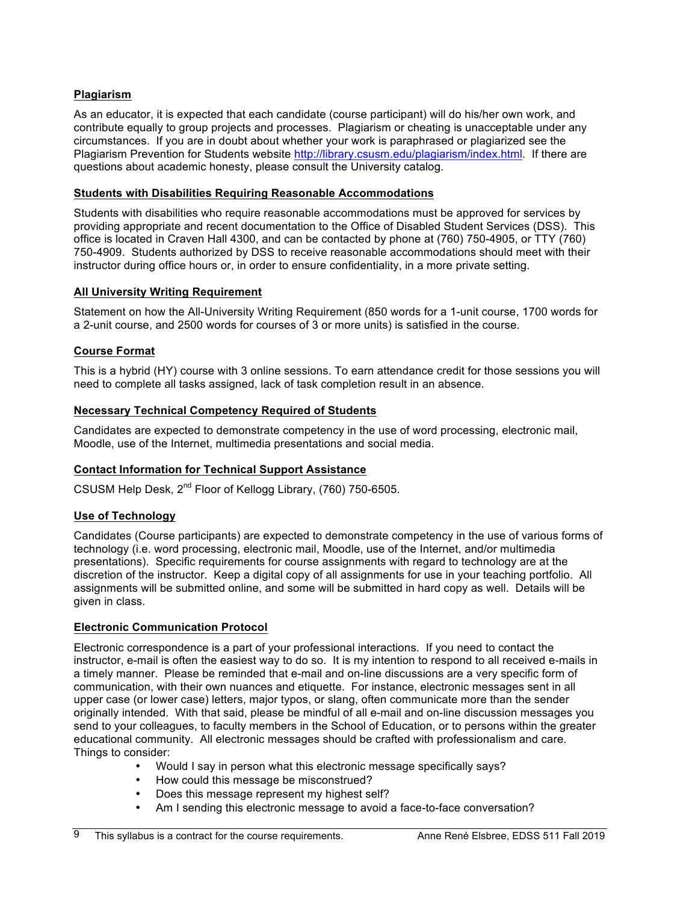## **Plagiarism**

As an educator, it is expected that each candidate (course participant) will do his/her own work, and contribute equally to group projects and processes. Plagiarism or cheating is unacceptable under any circumstances. If you are in doubt about whether your work is paraphrased or plagiarized see the Plagiarism Prevention for Students website http://library.csusm.edu/plagiarism/index.html. If there are questions about academic honesty, please consult the University catalog.

## **Students with Disabilities Requiring Reasonable Accommodations**

Students with disabilities who require reasonable accommodations must be approved for services by providing appropriate and recent documentation to the Office of Disabled Student Services (DSS). This office is located in Craven Hall 4300, and can be contacted by phone at (760) 750-4905, or TTY (760) 750-4909. Students authorized by DSS to receive reasonable accommodations should meet with their instructor during office hours or, in order to ensure confidentiality, in a more private setting.

## **All University Writing Requirement**

Statement on how the All-University Writing Requirement (850 words for a 1-unit course, 1700 words for a 2-unit course, and 2500 words for courses of 3 or more units) is satisfied in the course.

## **Course Format**

This is a hybrid (HY) course with 3 online sessions. To earn attendance credit for those sessions you will need to complete all tasks assigned, lack of task completion result in an absence.

## **Necessary Technical Competency Required of Students**

Candidates are expected to demonstrate competency in the use of word processing, electronic mail, Moodle, use of the Internet, multimedia presentations and social media.

## **Contact Information for Technical Support Assistance**

CSUSM Help Desk, 2nd Floor of Kellogg Library, (760) 750-6505.

## **Use of Technology**

Candidates (Course participants) are expected to demonstrate competency in the use of various forms of technology (i.e. word processing, electronic mail, Moodle, use of the Internet, and/or multimedia presentations). Specific requirements for course assignments with regard to technology are at the discretion of the instructor. Keep a digital copy of all assignments for use in your teaching portfolio. All assignments will be submitted online, and some will be submitted in hard copy as well. Details will be given in class.

## **Electronic Communication Protocol**

Electronic correspondence is a part of your professional interactions. If you need to contact the instructor, e-mail is often the easiest way to do so. It is my intention to respond to all received e-mails in a timely manner. Please be reminded that e-mail and on-line discussions are a very specific form of communication, with their own nuances and etiquette. For instance, electronic messages sent in all upper case (or lower case) letters, major typos, or slang, often communicate more than the sender originally intended. With that said, please be mindful of all e-mail and on-line discussion messages you send to your colleagues, to faculty members in the School of Education, or to persons within the greater educational community. All electronic messages should be crafted with professionalism and care. Things to consider:

- Would I say in person what this electronic message specifically says?
- How could this message be misconstrued?
- Does this message represent my highest self?
- Am I sending this electronic message to avoid a face-to-face conversation?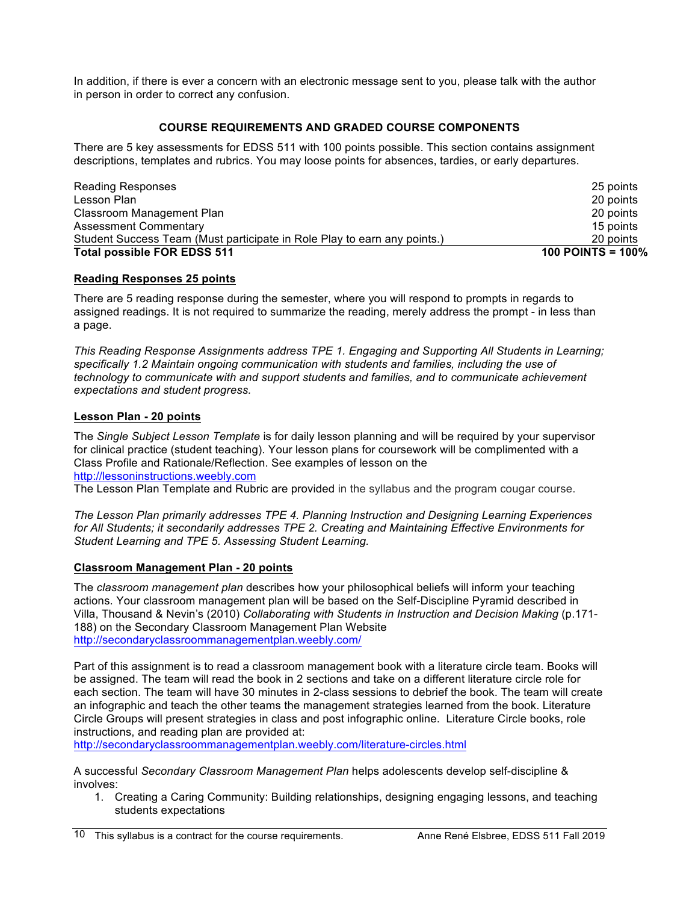In addition, if there is ever a concern with an electronic message sent to you, please talk with the author in person in order to correct any confusion.

# **COURSE REQUIREMENTS AND GRADED COURSE COMPONENTS**

There are 5 key assessments for EDSS 511 with 100 points possible. This section contains assignment descriptions, templates and rubrics. You may loose points for absences, tardies, or early departures.

| <b>Total possible FOR EDSS 511</b>                                       | 100 POINTS = $100\%$ |
|--------------------------------------------------------------------------|----------------------|
| Student Success Team (Must participate in Role Play to earn any points.) | 20 points            |
| <b>Assessment Commentary</b>                                             | 15 points            |
| Classroom Management Plan                                                | 20 points            |
| Lesson Plan                                                              | 20 points            |
| <b>Reading Responses</b>                                                 | 25 points            |
|                                                                          |                      |

## **Reading Responses 25 points**

There are 5 reading response during the semester, where you will respond to prompts in regards to assigned readings. It is not required to summarize the reading, merely address the prompt - in less than a page.

*This Reading Response Assignments address TPE 1. Engaging and Supporting All Students in Learning; specifically 1.2 Maintain ongoing communication with students and families, including the use of technology to communicate with and support students and families, and to communicate achievement expectations and student progress.* 

## **Lesson Plan - 20 points**

The *Single Subject Lesson Template* is for daily lesson planning and will be required by your supervisor for clinical practice (student teaching). Your lesson plans for coursework will be complimented with a Class Profile and Rationale/Reflection. See examples of lesson on the http://lessoninstructions.weebly.com

The Lesson Plan Template and Rubric are provided in the syllabus and the program cougar course.

*The Lesson Plan primarily addresses TPE 4. Planning Instruction and Designing Learning Experiences for All Students; it secondarily addresses TPE 2. Creating and Maintaining Effective Environments for Student Learning and TPE 5. Assessing Student Learning.*

## **Classroom Management Plan - 20 points**

The *classroom management plan* describes how your philosophical beliefs will inform your teaching actions. Your classroom management plan will be based on the Self-Discipline Pyramid described in Villa, Thousand & Nevin's (2010) *Collaborating with Students in Instruction and Decision Making* (p.171- 188) on the Secondary Classroom Management Plan Website http://secondaryclassroommanagementplan.weebly.com/

Part of this assignment is to read a classroom management book with a literature circle team. Books will be assigned. The team will read the book in 2 sections and take on a different literature circle role for each section. The team will have 30 minutes in 2-class sessions to debrief the book. The team will create an infographic and teach the other teams the management strategies learned from the book. Literature Circle Groups will present strategies in class and post infographic online. Literature Circle books, role instructions, and reading plan are provided at:

http://secondaryclassroommanagementplan.weebly.com/literature-circles.html

A successful *Secondary Classroom Management Plan* helps adolescents develop self-discipline & involves:

1. Creating a Caring Community: Building relationships, designing engaging lessons, and teaching students expectations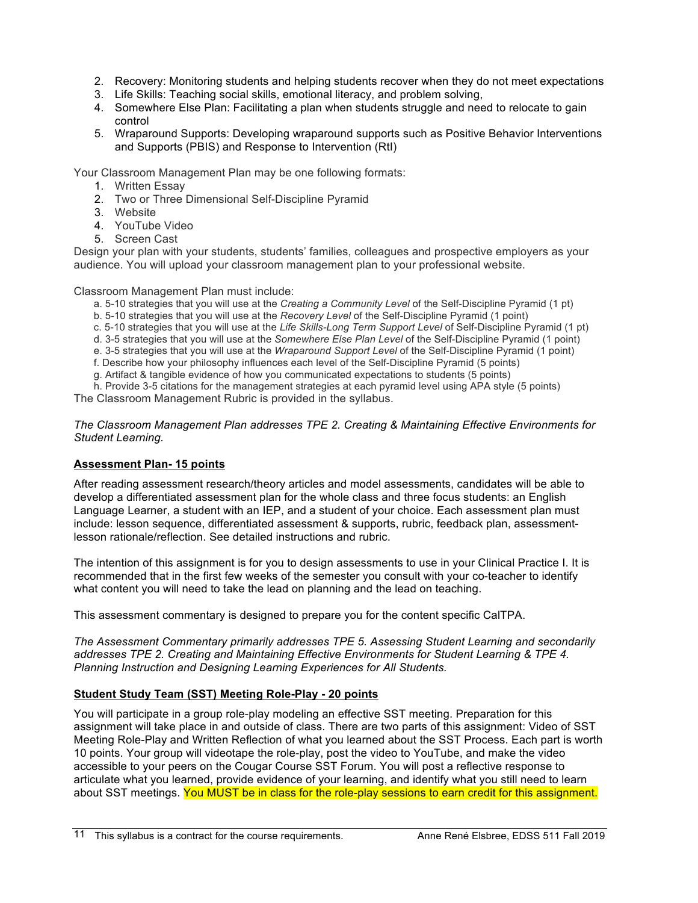- 2. Recovery: Monitoring students and helping students recover when they do not meet expectations
- 3. Life Skills: Teaching social skills, emotional literacy, and problem solving,
- 4. Somewhere Else Plan: Facilitating a plan when students struggle and need to relocate to gain control
- 5. Wraparound Supports: Developing wraparound supports such as Positive Behavior Interventions and Supports (PBIS) and Response to Intervention (RtI)

Your Classroom Management Plan may be one following formats:

- 1. Written Essay
- 2. Two or Three Dimensional Self-Discipline Pyramid
- 3. Website
- 4. YouTube Video
- 5. Screen Cast

Design your plan with your students, students' families, colleagues and prospective employers as your audience. You will upload your classroom management plan to your professional website.

Classroom Management Plan must include:

- a. 5-10 strategies that you will use at the *Creating a Community Level* of the Self-Discipline Pyramid (1 pt)
- b. 5-10 strategies that you will use at the *Recovery Level* of the Self-Discipline Pyramid (1 point)
- c. 5-10 strategies that you will use at the *Life Skills-Long Term Support Level* of Self-Discipline Pyramid (1 pt)
- d. 3-5 strategies that you will use at the *Somewhere Else Plan Level* of the Self-Discipline Pyramid (1 point)
- e. 3-5 strategies that you will use at the *Wraparound Support Level* of the Self-Discipline Pyramid (1 point)
- f. Describe how your philosophy influences each level of the Self-Discipline Pyramid (5 points)
- g. Artifact & tangible evidence of how you communicated expectations to students (5 points)

h. Provide 3-5 citations for the management strategies at each pyramid level using APA style (5 points) The Classroom Management Rubric is provided in the syllabus.

#### *The Classroom Management Plan addresses TPE 2. Creating & Maintaining Effective Environments for Student Learning.*

# **Assessment Plan- 15 points**

After reading assessment research/theory articles and model assessments, candidates will be able to develop a differentiated assessment plan for the whole class and three focus students: an English Language Learner, a student with an IEP, and a student of your choice. Each assessment plan must include: lesson sequence, differentiated assessment & supports, rubric, feedback plan, assessmentlesson rationale/reflection. See detailed instructions and rubric.

The intention of this assignment is for you to design assessments to use in your Clinical Practice I. It is recommended that in the first few weeks of the semester you consult with your co-teacher to identify what content you will need to take the lead on planning and the lead on teaching.

This assessment commentary is designed to prepare you for the content specific CalTPA.

*The Assessment Commentary primarily addresses TPE 5. Assessing Student Learning and secondarily addresses TPE 2. Creating and Maintaining Effective Environments for Student Learning & TPE 4. Planning Instruction and Designing Learning Experiences for All Students.*

# **Student Study Team (SST) Meeting Role-Play - 20 points**

You will participate in a group role-play modeling an effective SST meeting. Preparation for this assignment will take place in and outside of class. There are two parts of this assignment: Video of SST Meeting Role-Play and Written Reflection of what you learned about the SST Process. Each part is worth 10 points. Your group will videotape the role-play, post the video to YouTube, and make the video accessible to your peers on the Cougar Course SST Forum. You will post a reflective response to articulate what you learned, provide evidence of your learning, and identify what you still need to learn about SST meetings. You MUST be in class for the role-play sessions to earn credit for this assignment.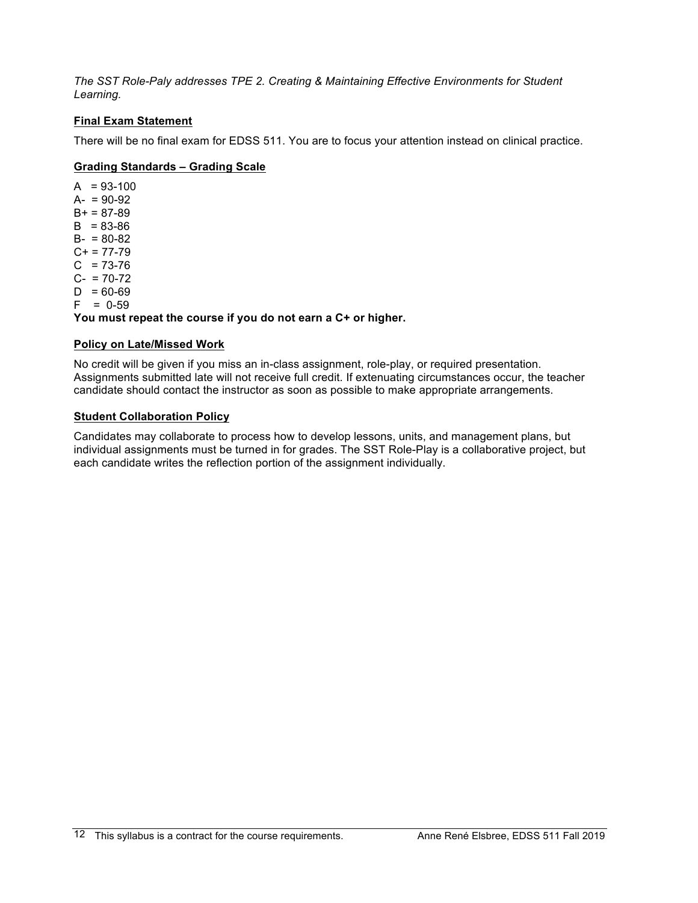*The SST Role-Paly addresses TPE 2. Creating & Maintaining Effective Environments for Student Learning.*

## **Final Exam Statement**

There will be no final exam for EDSS 511. You are to focus your attention instead on clinical practice.

## **Grading Standards – Grading Scale**

 $A = 93-100$  $A- = 90-92$  $B+ = 87-89$  $B = 83 - 86$  $B - 80 - 82$  $C+ = 77-79$  $C = 73-76$  $C- = 70-72$  $D = 60-69$  $F = 0.59$ **You must repeat the course if you do not earn a C+ or higher.**

## **Policy on Late/Missed Work**

No credit will be given if you miss an in-class assignment, role-play, or required presentation. Assignments submitted late will not receive full credit. If extenuating circumstances occur, the teacher candidate should contact the instructor as soon as possible to make appropriate arrangements.

# **Student Collaboration Policy**

Candidates may collaborate to process how to develop lessons, units, and management plans, but individual assignments must be turned in for grades. The SST Role-Play is a collaborative project, but each candidate writes the reflection portion of the assignment individually.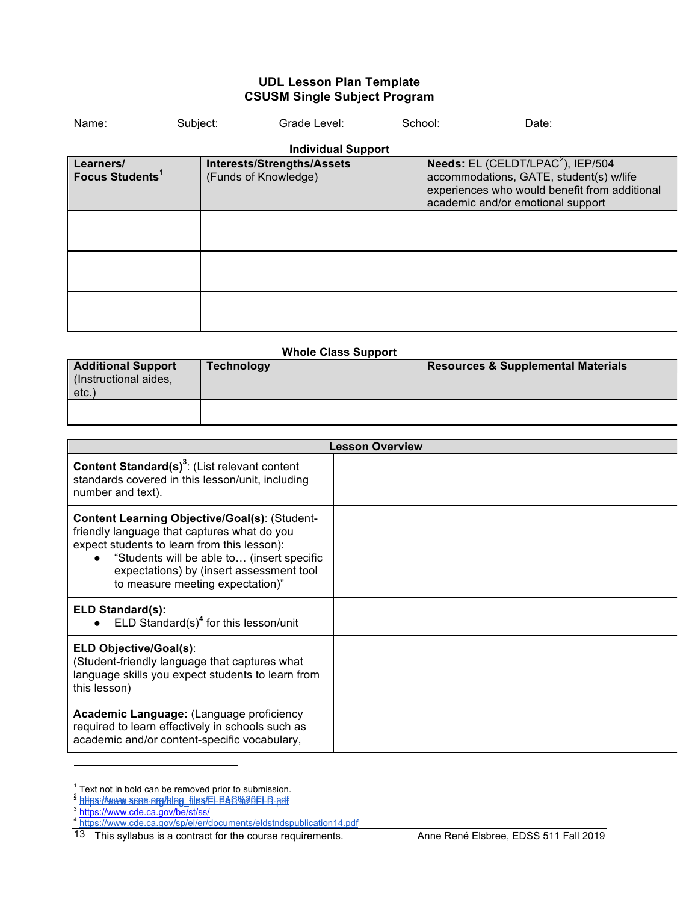## **UDL Lesson Plan Template CSUSM Single Subject Program**

| Name:                                    | Subject: | Grade Level:                                       | School: | Date:                                                                                                                                                                                 |  |
|------------------------------------------|----------|----------------------------------------------------|---------|---------------------------------------------------------------------------------------------------------------------------------------------------------------------------------------|--|
|                                          |          | <b>Individual Support</b>                          |         |                                                                                                                                                                                       |  |
| Learners/<br>Focus Students <sup>1</sup> |          | Interests/Strengths/Assets<br>(Funds of Knowledge) |         | <b>Needs:</b> EL (CELDT/LPAC <sup>2</sup> ), IEP/504<br>accommodations, GATE, student(s) w/life<br>experiences who would benefit from additional<br>academic and/or emotional support |  |
|                                          |          |                                                    |         |                                                                                                                                                                                       |  |
|                                          |          |                                                    |         |                                                                                                                                                                                       |  |
|                                          |          |                                                    |         |                                                                                                                                                                                       |  |

#### **Whole Class Support**

| <b>Additional Support</b><br>(Instructional aides,<br>etc., | Technology | <b>Resources &amp; Supplemental Materials</b> |
|-------------------------------------------------------------|------------|-----------------------------------------------|
|                                                             |            |                                               |

|                                                                                                                                                                                                                                                                                  | <b>Lesson Overview</b> |
|----------------------------------------------------------------------------------------------------------------------------------------------------------------------------------------------------------------------------------------------------------------------------------|------------------------|
| <b>Content Standard(s)<sup>3</sup></b> : (List relevant content<br>standards covered in this lesson/unit, including<br>number and text).                                                                                                                                         |                        |
| <b>Content Learning Objective/Goal(s): (Student-</b><br>friendly language that captures what do you<br>expect students to learn from this lesson):<br>"Students will be able to (insert specific<br>expectations) by (insert assessment tool<br>to measure meeting expectation)" |                        |
| <b>ELD Standard(s):</b><br>$ELD$ Standard(s) <sup>4</sup> for this lesson/unit                                                                                                                                                                                                   |                        |
| <b>ELD Objective/Goal(s):</b><br>(Student-friendly language that captures what<br>language skills you expect students to learn from<br>this lesson)                                                                                                                              |                        |
| Academic Language: (Language proficiency<br>required to learn effectively in schools such as<br>academic and/or content-specific vocabulary,                                                                                                                                     |                        |

 $\overline{a}$ 

<sup>&</sup>lt;sup>1</sup> Text not in bold can be removed prior to submission.<br><sup>2</sup> https://www.scoe.org/blog\_files/ELPAC%20ELD.pdf

<sup>3</sup> https://www.cde.ca.gov/be/st/ss/

<sup>&</sup>lt;sup>4</sup> https://www.cde.ca.gov/sp/el/er/documents/eldstndspublication14.pdf

This syllabus is a contract for the course requirements. Anne René Elsbree, EDSS 511 Fall 2019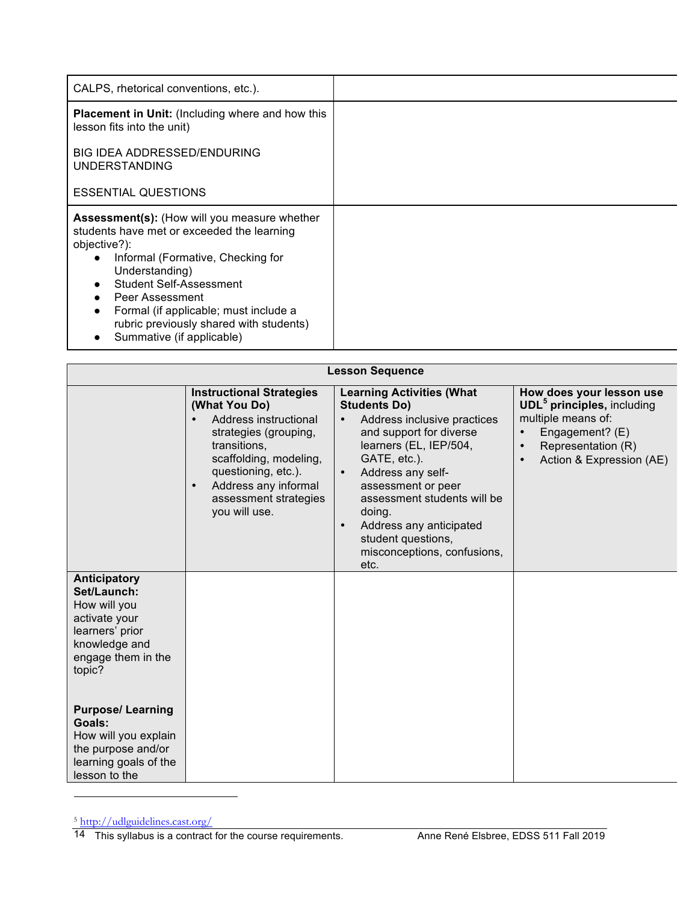| CALPS, rhetorical conventions, etc.).                                                                                                                                                                                                                                                                                                                                                      |  |
|--------------------------------------------------------------------------------------------------------------------------------------------------------------------------------------------------------------------------------------------------------------------------------------------------------------------------------------------------------------------------------------------|--|
| <b>Placement in Unit:</b> (Including where and how this<br>lesson fits into the unit)                                                                                                                                                                                                                                                                                                      |  |
| BIG IDEA ADDRESSED/ENDURING<br><b>UNDERSTANDING</b>                                                                                                                                                                                                                                                                                                                                        |  |
| <b>ESSENTIAL QUESTIONS</b>                                                                                                                                                                                                                                                                                                                                                                 |  |
| <b>Assessment(s):</b> (How will you measure whether<br>students have met or exceeded the learning<br>objective?):<br>Informal (Formative, Checking for<br>$\bullet$<br>Understanding)<br><b>Student Self-Assessment</b><br>$\bullet$<br>Peer Assessment<br>Formal (if applicable; must include a<br>$\bullet$<br>rubric previously shared with students)<br>Summative (if applicable)<br>٠ |  |

| <b>Lesson Sequence</b>                                                                                                           |                                                                                                                                                                                                                                                    |                                                                                                                                                                                                                                                                                                                                                      |                                                                                                                                                                                  |
|----------------------------------------------------------------------------------------------------------------------------------|----------------------------------------------------------------------------------------------------------------------------------------------------------------------------------------------------------------------------------------------------|------------------------------------------------------------------------------------------------------------------------------------------------------------------------------------------------------------------------------------------------------------------------------------------------------------------------------------------------------|----------------------------------------------------------------------------------------------------------------------------------------------------------------------------------|
|                                                                                                                                  | <b>Instructional Strategies</b><br>(What You Do)<br>Address instructional<br>strategies (grouping,<br>transitions.<br>scaffolding, modeling,<br>questioning, etc.).<br>Address any informal<br>$\bullet$<br>assessment strategies<br>you will use. | <b>Learning Activities (What</b><br><b>Students Do)</b><br>Address inclusive practices<br>and support for diverse<br>learners (EL, IEP/504,<br>GATE, etc.).<br>Address any self-<br>assessment or peer<br>assessment students will be<br>doing.<br>Address any anticipated<br>$\bullet$<br>student questions,<br>misconceptions, confusions,<br>etc. | How does your lesson use<br><b>UDL<sup>5</sup></b> principles, including<br>multiple means of:<br>Engagement? (E)<br>Representation (R)<br>$\bullet$<br>Action & Expression (AE) |
| Anticipatory<br>Set/Launch:<br>How will you<br>activate your<br>learners' prior<br>knowledge and<br>engage them in the<br>topic? |                                                                                                                                                                                                                                                    |                                                                                                                                                                                                                                                                                                                                                      |                                                                                                                                                                                  |
| <b>Purpose/Learning</b><br>Goals:<br>How will you explain<br>the purpose and/or<br>learning goals of the<br>lesson to the        |                                                                                                                                                                                                                                                    |                                                                                                                                                                                                                                                                                                                                                      |                                                                                                                                                                                  |

<sup>5</sup> http://udlguidelines.cast.org/

 $\overline{a}$ 

<sup>14</sup> This syllabus is a contract for the course requirements. Anne René Elsbree, EDSS 511 Fall 2019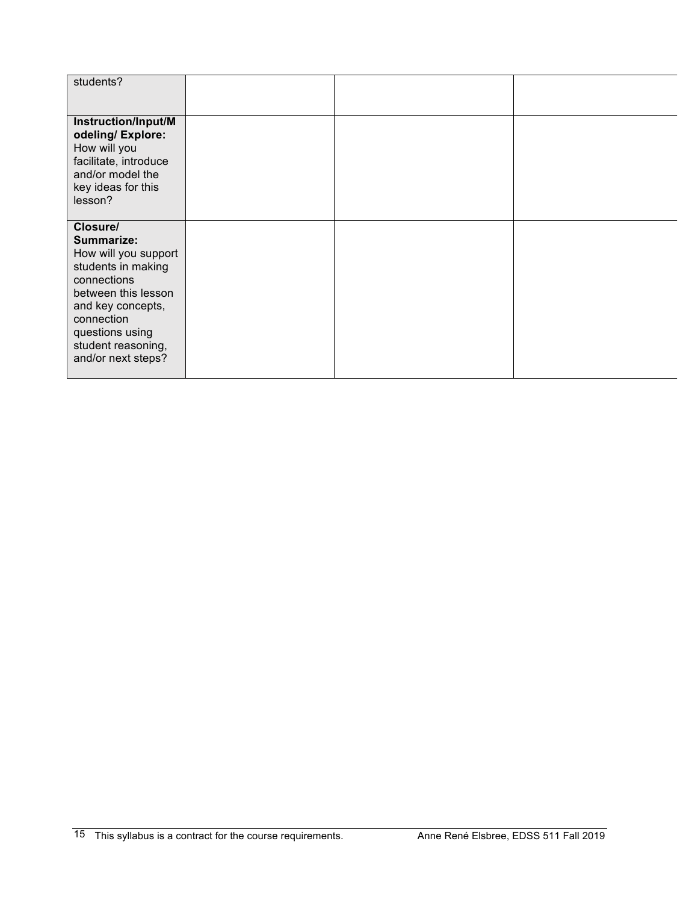| students?                                                                                                                                                                                                    |  |  |
|--------------------------------------------------------------------------------------------------------------------------------------------------------------------------------------------------------------|--|--|
| Instruction/Input/M<br>odeling/Explore:<br>How will you<br>facilitate, introduce<br>and/or model the<br>key ideas for this<br>lesson?                                                                        |  |  |
| Closure/<br>Summarize:<br>How will you support<br>students in making<br>connections<br>between this lesson<br>and key concepts,<br>connection<br>questions using<br>student reasoning,<br>and/or next steps? |  |  |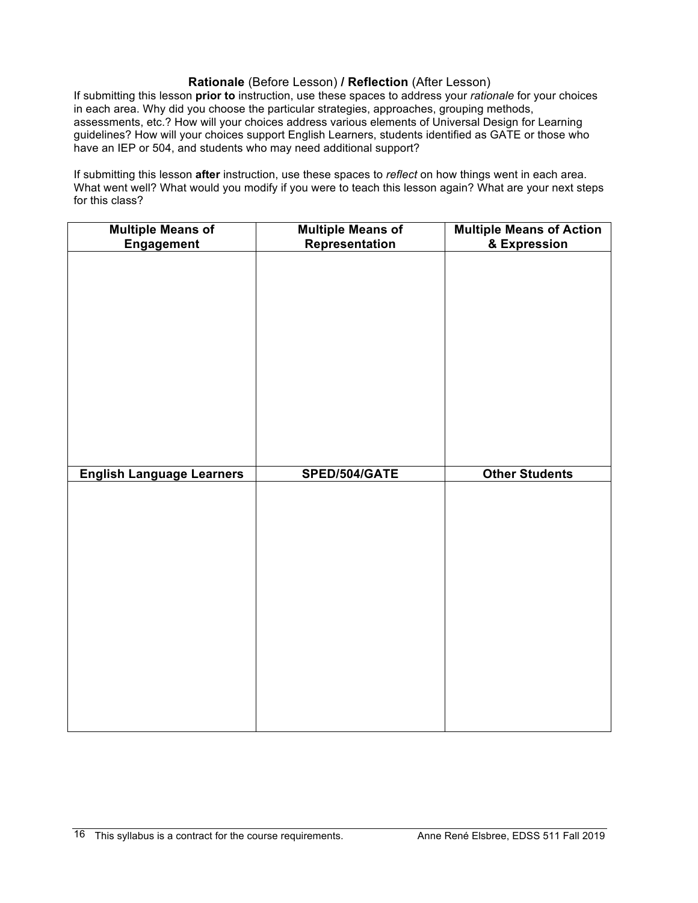# **Rationale** (Before Lesson) **/ Reflection** (After Lesson)

If submitting this lesson **prior to** instruction, use these spaces to address your *rationale* for your choices in each area. Why did you choose the particular strategies, approaches, grouping methods, assessments, etc.? How will your choices address various elements of Universal Design for Learning guidelines? How will your choices support English Learners, students identified as GATE or those who have an IEP or 504, and students who may need additional support?

If submitting this lesson **after** instruction, use these spaces to *reflect* on how things went in each area. What went well? What would you modify if you were to teach this lesson again? What are your next steps for this class?

| <b>Multiple Means of</b>         | <b>Multiple Means of</b> | <b>Multiple Means of Action<br/>&amp; Expression</b> |
|----------------------------------|--------------------------|------------------------------------------------------|
| Engagement                       | Representation           |                                                      |
|                                  |                          |                                                      |
|                                  |                          |                                                      |
|                                  |                          |                                                      |
|                                  |                          |                                                      |
|                                  |                          |                                                      |
|                                  |                          |                                                      |
|                                  |                          |                                                      |
|                                  |                          |                                                      |
|                                  |                          |                                                      |
|                                  |                          |                                                      |
|                                  |                          |                                                      |
|                                  |                          |                                                      |
|                                  |                          |                                                      |
|                                  |                          |                                                      |
| <b>English Language Learners</b> | SPED/504/GATE            | <b>Other Students</b>                                |
|                                  |                          |                                                      |
|                                  |                          |                                                      |
|                                  |                          |                                                      |
|                                  |                          |                                                      |
|                                  |                          |                                                      |
|                                  |                          |                                                      |
|                                  |                          |                                                      |
|                                  |                          |                                                      |
|                                  |                          |                                                      |
|                                  |                          |                                                      |
|                                  |                          |                                                      |
|                                  |                          |                                                      |
|                                  |                          |                                                      |
|                                  |                          |                                                      |
|                                  |                          |                                                      |
|                                  |                          |                                                      |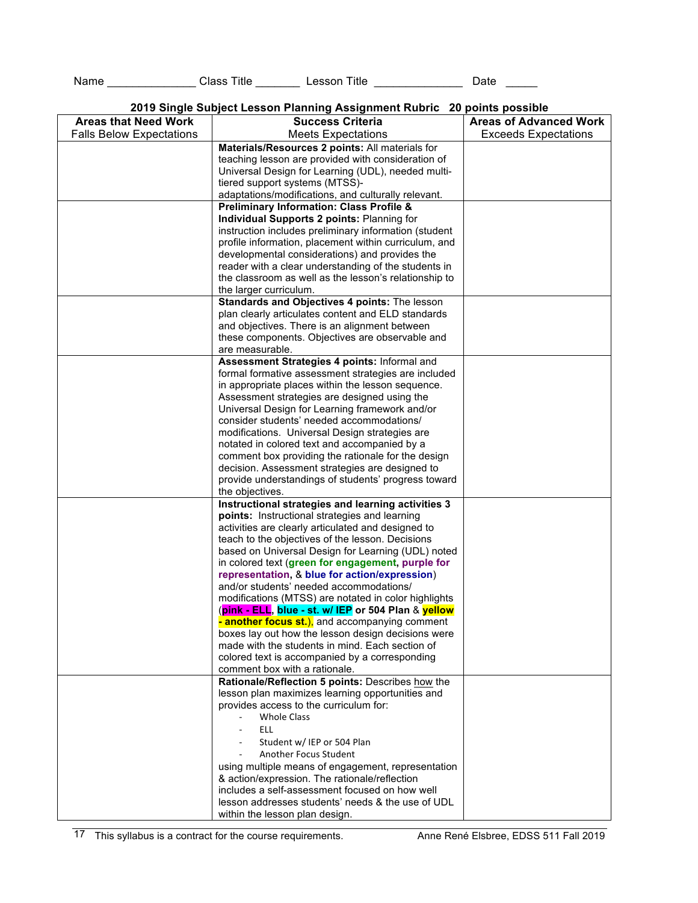Name \_\_\_\_\_\_\_\_\_\_\_\_\_\_\_\_\_\_ Class Title \_\_\_\_\_\_\_\_\_\_ Lesson Title \_\_\_\_\_\_\_\_\_\_\_\_\_\_\_\_\_\_\_\_ Date \_\_\_\_\_\_

| 2019 Single Subject Lesson Planning Assignment Rubric 20 points possible |  |
|--------------------------------------------------------------------------|--|
|--------------------------------------------------------------------------|--|

|                                 | 2019 Onlyle Oubject Lesson Flammig Assignment Nubric - 20 points possible |                               |
|---------------------------------|---------------------------------------------------------------------------|-------------------------------|
| <b>Areas that Need Work</b>     | <b>Success Criteria</b>                                                   | <b>Areas of Advanced Work</b> |
| <b>Falls Below Expectations</b> | <b>Meets Expectations</b>                                                 | <b>Exceeds Expectations</b>   |
|                                 | Materials/Resources 2 points: All materials for                           |                               |
|                                 | teaching lesson are provided with consideration of                        |                               |
|                                 | Universal Design for Learning (UDL), needed multi-                        |                               |
|                                 | tiered support systems (MTSS)-                                            |                               |
|                                 | adaptations/modifications, and culturally relevant.                       |                               |
|                                 | <b>Preliminary Information: Class Profile &amp;</b>                       |                               |
|                                 | Individual Supports 2 points: Planning for                                |                               |
|                                 | instruction includes preliminary information (student                     |                               |
|                                 | profile information, placement within curriculum, and                     |                               |
|                                 | developmental considerations) and provides the                            |                               |
|                                 | reader with a clear understanding of the students in                      |                               |
|                                 | the classroom as well as the lesson's relationship to                     |                               |
|                                 | the larger curriculum.                                                    |                               |
|                                 | Standards and Objectives 4 points: The lesson                             |                               |
|                                 |                                                                           |                               |
|                                 | plan clearly articulates content and ELD standards                        |                               |
|                                 | and objectives. There is an alignment between                             |                               |
|                                 | these components. Objectives are observable and                           |                               |
|                                 | are measurable.                                                           |                               |
|                                 | Assessment Strategies 4 points: Informal and                              |                               |
|                                 | formal formative assessment strategies are included                       |                               |
|                                 | in appropriate places within the lesson sequence.                         |                               |
|                                 | Assessment strategies are designed using the                              |                               |
|                                 | Universal Design for Learning framework and/or                            |                               |
|                                 | consider students' needed accommodations/                                 |                               |
|                                 | modifications. Universal Design strategies are                            |                               |
|                                 | notated in colored text and accompanied by a                              |                               |
|                                 | comment box providing the rationale for the design                        |                               |
|                                 | decision. Assessment strategies are designed to                           |                               |
|                                 | provide understandings of students' progress toward                       |                               |
|                                 | the objectives.                                                           |                               |
|                                 | Instructional strategies and learning activities 3                        |                               |
|                                 | points: Instructional strategies and learning                             |                               |
|                                 | activities are clearly articulated and designed to                        |                               |
|                                 | teach to the objectives of the lesson. Decisions                          |                               |
|                                 | based on Universal Design for Learning (UDL) noted                        |                               |
|                                 | in colored text (green for engagement, purple for                         |                               |
|                                 | representation, & blue for action/expression)                             |                               |
|                                 | and/or students' needed accommodations/                                   |                               |
|                                 | modifications (MTSS) are notated in color highlights                      |                               |
|                                 | (pink - ELL, blue - st. w/ IEP or 504 Plan & yellow                       |                               |
|                                 | - another focus st.), and accompanying comment                            |                               |
|                                 | boxes lay out how the lesson design decisions were                        |                               |
|                                 | made with the students in mind. Each section of                           |                               |
|                                 | colored text is accompanied by a corresponding                            |                               |
|                                 | comment box with a rationale.                                             |                               |
|                                 | Rationale/Reflection 5 points: Describes how the                          |                               |
|                                 | lesson plan maximizes learning opportunities and                          |                               |
|                                 | provides access to the curriculum for:                                    |                               |
|                                 | <b>Whole Class</b>                                                        |                               |
|                                 | ELL.                                                                      |                               |
|                                 | Student w/ IEP or 504 Plan                                                |                               |
|                                 | <b>Another Focus Student</b>                                              |                               |
|                                 |                                                                           |                               |
|                                 | using multiple means of engagement, representation                        |                               |
|                                 | & action/expression. The rationale/reflection                             |                               |
|                                 | includes a self-assessment focused on how well                            |                               |
|                                 | lesson addresses students' needs & the use of UDL                         |                               |
|                                 | within the lesson plan design.                                            |                               |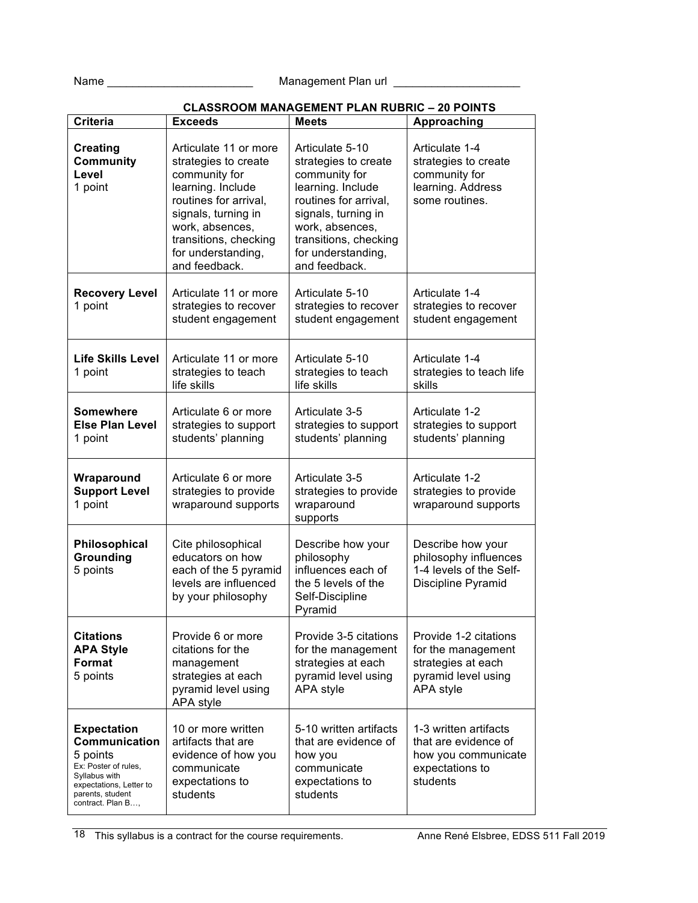Name \_\_\_\_\_\_\_\_\_\_\_\_\_\_\_\_\_\_\_\_\_\_\_ Management Plan url \_\_\_\_\_\_\_\_\_\_\_\_\_\_\_\_\_\_\_\_

| <b>Criteria</b>                                                                                                                                              | <b>Exceeds</b>                                                                                                                                                                                                         | <b>Meets</b>                                                                                                                                                                                                     | Approaching                                                                                           |
|--------------------------------------------------------------------------------------------------------------------------------------------------------------|------------------------------------------------------------------------------------------------------------------------------------------------------------------------------------------------------------------------|------------------------------------------------------------------------------------------------------------------------------------------------------------------------------------------------------------------|-------------------------------------------------------------------------------------------------------|
| <b>Creating</b><br><b>Community</b><br>Level<br>1 point                                                                                                      | Articulate 11 or more<br>strategies to create<br>community for<br>learning. Include<br>routines for arrival,<br>signals, turning in<br>work, absences,<br>transitions, checking<br>for understanding,<br>and feedback. | Articulate 5-10<br>strategies to create<br>community for<br>learning. Include<br>routines for arrival,<br>signals, turning in<br>work, absences,<br>transitions, checking<br>for understanding,<br>and feedback. | Articulate 1-4<br>strategies to create<br>community for<br>learning. Address<br>some routines.        |
| <b>Recovery Level</b><br>1 point                                                                                                                             | Articulate 11 or more<br>strategies to recover<br>student engagement                                                                                                                                                   | Articulate 5-10<br>strategies to recover<br>student engagement                                                                                                                                                   | Articulate 1-4<br>strategies to recover<br>student engagement                                         |
| <b>Life Skills Level</b><br>1 point                                                                                                                          | Articulate 11 or more<br>strategies to teach<br>life skills                                                                                                                                                            | Articulate 5-10<br>strategies to teach<br>life skills                                                                                                                                                            | Articulate 1-4<br>strategies to teach life<br>skills                                                  |
| <b>Somewhere</b><br><b>Else Plan Level</b><br>1 point                                                                                                        | Articulate 6 or more<br>strategies to support<br>students' planning                                                                                                                                                    | Articulate 3-5<br>strategies to support<br>students' planning                                                                                                                                                    | Articulate 1-2<br>strategies to support<br>students' planning                                         |
| Wraparound<br><b>Support Level</b><br>1 point                                                                                                                | Articulate 6 or more<br>strategies to provide<br>wraparound supports                                                                                                                                                   | Articulate 3-5<br>strategies to provide<br>wraparound<br>supports                                                                                                                                                | Articulate 1-2<br>strategies to provide<br>wraparound supports                                        |
| Philosophical<br>Grounding<br>5 points                                                                                                                       | Cite philosophical<br>educators on how<br>each of the 5 pyramid<br>levels are influenced<br>by your philosophy                                                                                                         | Describe how your<br>philosophy<br>influences each of<br>the 5 levels of the<br>Self-Discipline<br>Pyramid                                                                                                       | Describe how your<br>philosophy influences<br>1-4 levels of the Self-<br>Discipline Pyramid           |
| <b>Citations</b><br><b>APA Style</b><br>Format<br>5 points                                                                                                   | Provide 6 or more<br>citations for the<br>management<br>strategies at each<br>pyramid level using<br>APA style                                                                                                         | Provide 3-5 citations<br>for the management<br>strategies at each<br>pyramid level using<br>APA style                                                                                                            | Provide 1-2 citations<br>for the management<br>strategies at each<br>pyramid level using<br>APA style |
| <b>Expectation</b><br>Communication<br>5 points<br>Ex: Poster of rules,<br>Syllabus with<br>expectations, Letter to<br>parents, student<br>contract. Plan B, | 10 or more written<br>artifacts that are<br>evidence of how you<br>communicate<br>expectations to<br>students                                                                                                          | 5-10 written artifacts<br>that are evidence of<br>how you<br>communicate<br>expectations to<br>students                                                                                                          | 1-3 written artifacts<br>that are evidence of<br>how you communicate<br>expectations to<br>students   |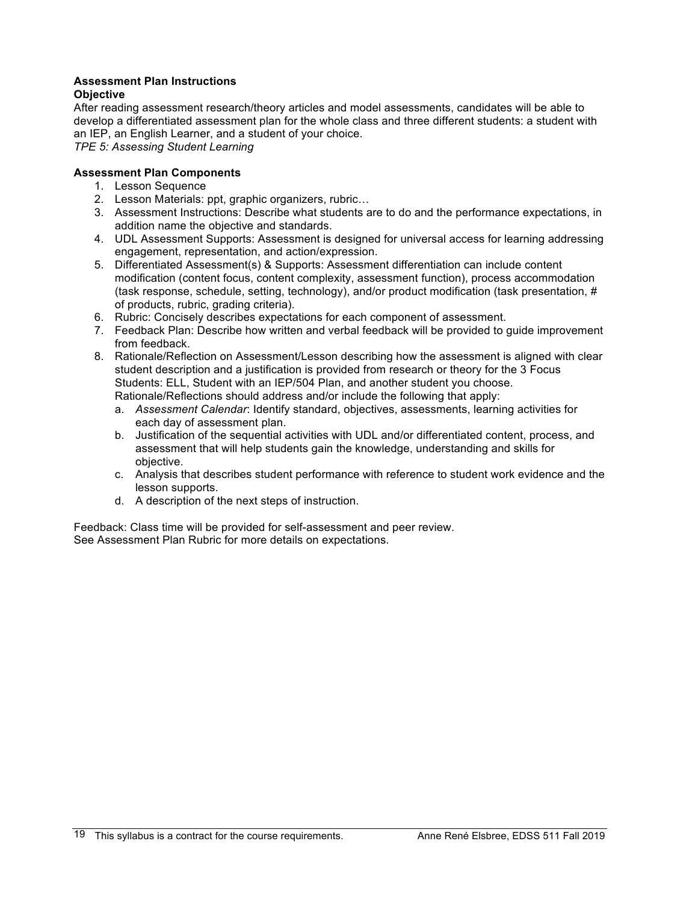# **Assessment Plan Instructions**

# **Objective**

After reading assessment research/theory articles and model assessments, candidates will be able to develop a differentiated assessment plan for the whole class and three different students: a student with an IEP, an English Learner, and a student of your choice.

*TPE 5: Assessing Student Learning*

## **Assessment Plan Components**

- 1. Lesson Sequence
- 2. Lesson Materials: ppt, graphic organizers, rubric…
- 3. Assessment Instructions: Describe what students are to do and the performance expectations, in addition name the objective and standards.
- 4. UDL Assessment Supports: Assessment is designed for universal access for learning addressing engagement, representation, and action/expression.
- 5. Differentiated Assessment(s) & Supports: Assessment differentiation can include content modification (content focus, content complexity, assessment function), process accommodation (task response, schedule, setting, technology), and/or product modification (task presentation, # of products, rubric, grading criteria).
- 6. Rubric: Concisely describes expectations for each component of assessment.
- 7. Feedback Plan: Describe how written and verbal feedback will be provided to guide improvement from feedback.
- 8. Rationale/Reflection on Assessment/Lesson describing how the assessment is aligned with clear student description and a justification is provided from research or theory for the 3 Focus Students: ELL, Student with an IEP/504 Plan, and another student you choose. Rationale/Reflections should address and/or include the following that apply:
	- a. *Assessment Calendar*: Identify standard, objectives, assessments, learning activities for each day of assessment plan.
	- b. Justification of the sequential activities with UDL and/or differentiated content, process, and assessment that will help students gain the knowledge, understanding and skills for objective.
	- c. Analysis that describes student performance with reference to student work evidence and the lesson supports.
	- d. A description of the next steps of instruction.

Feedback: Class time will be provided for self-assessment and peer review. See Assessment Plan Rubric for more details on expectations.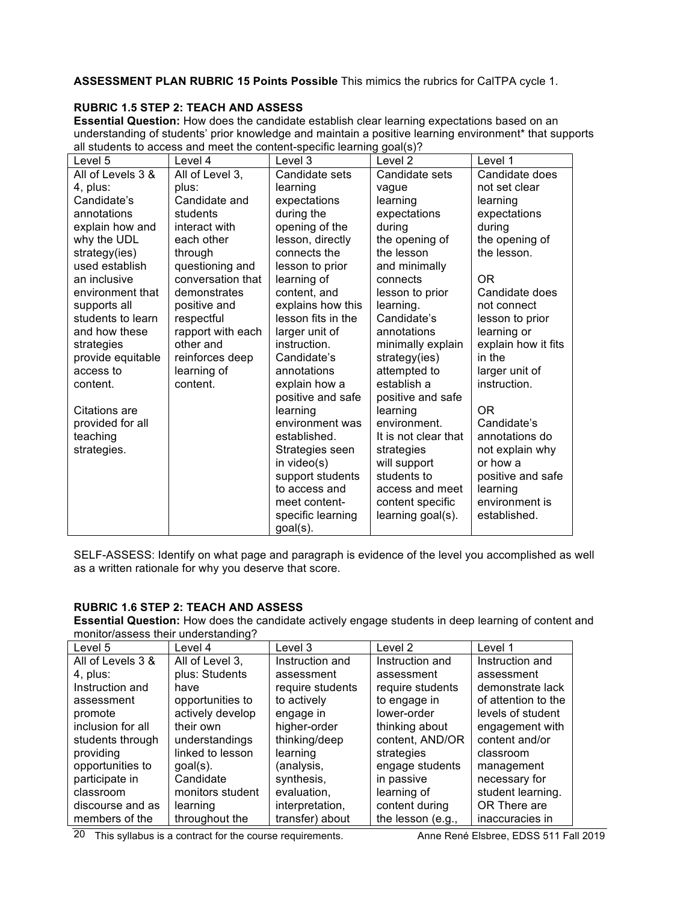**ASSESSMENT PLAN RUBRIC 15 Points Possible** This mimics the rubrics for CalTPA cycle 1.

# **RUBRIC 1.5 STEP 2: TEACH AND ASSESS**

**Essential Question:** How does the candidate establish clear learning expectations based on an understanding of students' prior knowledge and maintain a positive learning environment\* that supports all students to access and meet the content-specific learning goal(s)?

| Level 5           | Level 4           | Level 3            | Level <sub>2</sub>   | Level 1             |
|-------------------|-------------------|--------------------|----------------------|---------------------|
| All of Levels 3 & | All of Level 3,   | Candidate sets     | Candidate sets       | Candidate does      |
| 4, plus:          | plus:             | learning           | vague                | not set clear       |
| Candidate's       | Candidate and     | expectations       | learning             | learning            |
| annotations       | students          | during the         | expectations         | expectations        |
| explain how and   | interact with     | opening of the     | during               | during              |
| why the UDL       | each other        | lesson, directly   | the opening of       | the opening of      |
| strategy(ies)     | through           | connects the       | the lesson           | the lesson.         |
| used establish    | questioning and   | lesson to prior    | and minimally        |                     |
| an inclusive      | conversation that | learning of        | connects             | 0R                  |
| environment that  | demonstrates      | content, and       | lesson to prior      | Candidate does      |
| supports all      | positive and      | explains how this  | learning.            | not connect         |
| students to learn | respectful        | lesson fits in the | Candidate's          | lesson to prior     |
| and how these     | rapport with each | larger unit of     | annotations          | learning or         |
| strategies        | other and         | instruction.       | minimally explain    | explain how it fits |
| provide equitable | reinforces deep   | Candidate's        | strategy(ies)        | in the              |
| access to         | learning of       | annotations        | attempted to         | larger unit of      |
| content.          | content.          | explain how a      | establish a          | instruction.        |
|                   |                   | positive and safe  | positive and safe    |                     |
| Citations are     |                   | learning           | learning             | 0 <sub>R</sub>      |
| provided for all  |                   | environment was    | environment.         | Candidate's         |
| teaching          |                   | established.       | It is not clear that | annotations do      |
| strategies.       |                   | Strategies seen    | strategies           | not explain why     |
|                   |                   | in video(s)        | will support         | or how a            |
|                   |                   | support students   | students to          | positive and safe   |
|                   |                   | to access and      | access and meet      | learning            |
|                   |                   | meet content-      | content specific     | environment is      |
|                   |                   | specific learning  | learning goal(s).    | established.        |
|                   |                   | $goal(s)$ .        |                      |                     |

SELF-ASSESS: Identify on what page and paragraph is evidence of the level you accomplished as well as a written rationale for why you deserve that score.

# **RUBRIC 1.6 STEP 2: TEACH AND ASSESS**

**Essential Question:** How does the candidate actively engage students in deep learning of content and monitor/assess their understanding?

| Level 5           | Level 4          | Level 3          | Level 2           | Level 1             |
|-------------------|------------------|------------------|-------------------|---------------------|
| All of Levels 3 & | All of Level 3,  | Instruction and  | Instruction and   | Instruction and     |
| 4, plus:          | plus: Students   | assessment       | assessment        | assessment          |
| Instruction and   | have             | require students | require students  | demonstrate lack    |
| assessment        | opportunities to | to actively      | to engage in      | of attention to the |
| promote           | actively develop | engage in        | lower-order       | levels of student   |
| inclusion for all | their own        | higher-order     | thinking about    | engagement with     |
| students through  | understandings   | thinking/deep    | content, AND/OR   | content and/or      |
| providing         | linked to lesson | learning         | strategies        | classroom           |
| opportunities to  | $goal(s)$ .      | (analysis,       | engage students   | management          |
| participate in    | Candidate        | synthesis,       | in passive        | necessary for       |
| classroom         | monitors student | evaluation,      | learning of       | student learning.   |
| discourse and as  | learning         | interpretation,  | content during    | OR There are        |
| members of the    | throughout the   | transfer) about  | the lesson (e.g., | inaccuracies in     |

20 This syllabus is a contract for the course requirements. Anne René Elsbree, EDSS 511 Fall 2019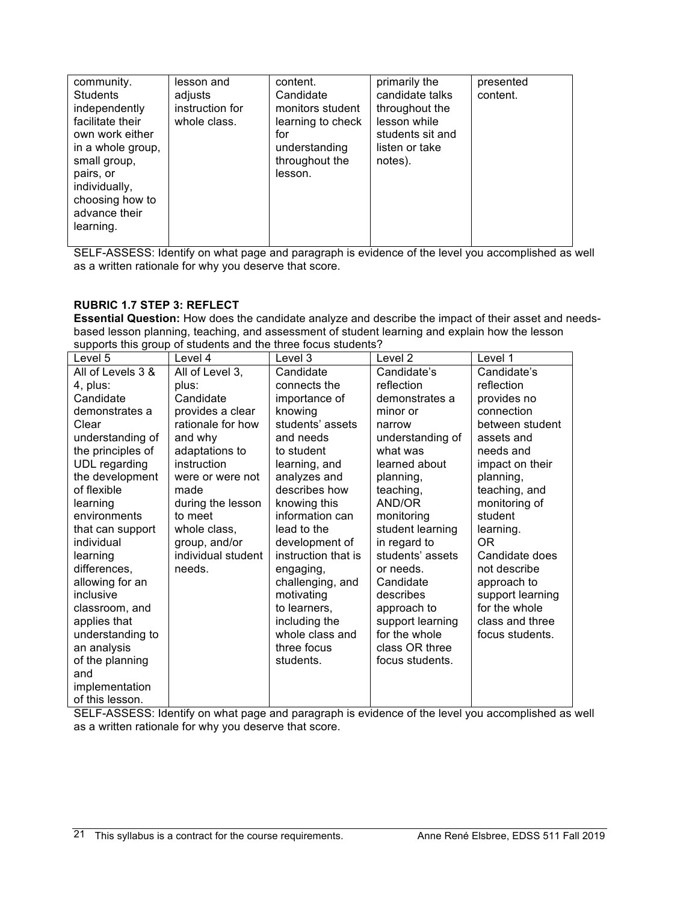| community.<br><b>Students</b><br>independently<br>facilitate their<br>own work either<br>in a whole group,<br>small group,<br>pairs, or<br>individually,<br>choosing how to<br>advance their<br>learning. | lesson and<br>adjusts<br>instruction for<br>whole class. | content.<br>Candidate<br>monitors student<br>learning to check<br>for<br>understanding<br>throughout the<br>lesson. | primarily the<br>candidate talks<br>throughout the<br>lesson while<br>students sit and<br>listen or take<br>notes). | presented<br>content. |
|-----------------------------------------------------------------------------------------------------------------------------------------------------------------------------------------------------------|----------------------------------------------------------|---------------------------------------------------------------------------------------------------------------------|---------------------------------------------------------------------------------------------------------------------|-----------------------|

SELF-ASSESS: Identify on what page and paragraph is evidence of the level you accomplished as well as a written rationale for why you deserve that score.

## **RUBRIC 1.7 STEP 3: REFLECT**

**Essential Question:** How does the candidate analyze and describe the impact of their asset and needsbased lesson planning, teaching, and assessment of student learning and explain how the lesson supports this group of students and the three focus students?

| Level 5           | Level 4            | Level 3             | Level 2          | Level 1          |
|-------------------|--------------------|---------------------|------------------|------------------|
| All of Levels 3 & | All of Level 3,    | Candidate           | Candidate's      | Candidate's      |
| 4, plus:          | plus:              | connects the        | reflection       | reflection       |
| Candidate         | Candidate          | importance of       | demonstrates a   | provides no      |
| demonstrates a    | provides a clear   | knowing             | minor or         | connection       |
| Clear             | rationale for how  | students' assets    | narrow           | between student  |
| understanding of  | and why            | and needs           | understanding of | assets and       |
| the principles of | adaptations to     | to student          | what was         | needs and        |
| UDL regarding     | instruction        | learning, and       | learned about    | impact on their  |
| the development   | were or were not   | analyzes and        | planning,        | planning,        |
| of flexible       | made               | describes how       | teaching,        | teaching, and    |
| learning          | during the lesson  | knowing this        | AND/OR           | monitoring of    |
| environments      | to meet            | information can     | monitoring       | student          |
| that can support  | whole class,       | lead to the         | student learning | learning.        |
| individual        | group, and/or      | development of      | in regard to     | OR.              |
| learning          | individual student | instruction that is | students' assets | Candidate does   |
| differences,      | needs.             | engaging,           | or needs.        | not describe     |
| allowing for an   |                    | challenging, and    | Candidate        | approach to      |
| inclusive         |                    | motivating          | describes        | support learning |
| classroom, and    |                    | to learners,        | approach to      | for the whole    |
| applies that      |                    | including the       | support learning | class and three  |
| understanding to  |                    | whole class and     | for the whole    | focus students.  |
| an analysis       |                    | three focus         | class OR three   |                  |
| of the planning   |                    | students.           | focus students.  |                  |
| and               |                    |                     |                  |                  |
| implementation    |                    |                     |                  |                  |
| of this lesson.   |                    |                     |                  |                  |

SELF-ASSESS: Identify on what page and paragraph is evidence of the level you accomplished as well as a written rationale for why you deserve that score.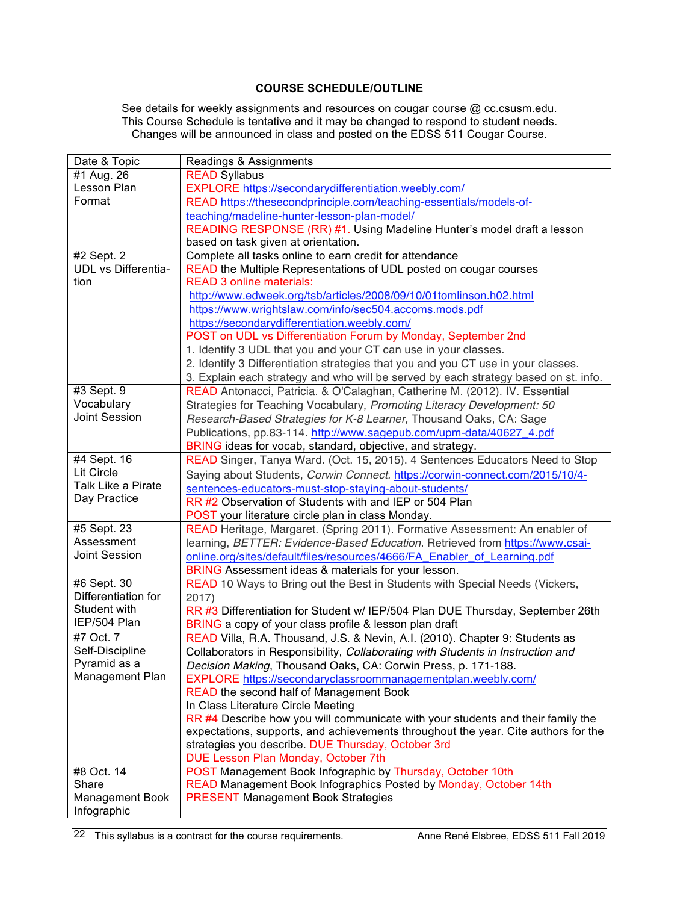## **COURSE SCHEDULE/OUTLINE**

See details for weekly assignments and resources on cougar course @ cc.csusm.edu. This Course Schedule is tentative and it may be changed to respond to student needs. Changes will be announced in class and posted on the EDSS 511 Cougar Course.

| Date & Topic             | Readings & Assignments                                                              |
|--------------------------|-------------------------------------------------------------------------------------|
| #1 Aug. 26               | <b>READ Syllabus</b>                                                                |
| Lesson Plan              | EXPLORE https://secondarydifferentiation.weebly.com/                                |
| Format                   | READ https://thesecondprinciple.com/teaching-essentials/models-of-                  |
|                          | teaching/madeline-hunter-lesson-plan-model/                                         |
|                          | READING RESPONSE (RR) #1. Using Madeline Hunter's model draft a lesson              |
|                          | based on task given at orientation.                                                 |
| #2 Sept. 2               | Complete all tasks online to earn credit for attendance                             |
| UDL vs Differentia-      | READ the Multiple Representations of UDL posted on cougar courses                   |
| tion                     | <b>READ 3 online materials:</b>                                                     |
|                          | http://www.edweek.org/tsb/articles/2008/09/10/01tomlinson.h02.html                  |
|                          | https://www.wrightslaw.com/info/sec504.accoms.mods.pdf                              |
|                          | https://secondarydifferentiation.weebly.com/                                        |
|                          | POST on UDL vs Differentiation Forum by Monday, September 2nd                       |
|                          | 1. Identify 3 UDL that you and your CT can use in your classes.                     |
|                          | 2. Identify 3 Differentiation strategies that you and you CT use in your classes.   |
|                          |                                                                                     |
|                          | 3. Explain each strategy and who will be served by each strategy based on st. info. |
| #3 Sept. 9<br>Vocabulary | READ Antonacci, Patricia. & O'Calaghan, Catherine M. (2012). IV. Essential          |
| <b>Joint Session</b>     | Strategies for Teaching Vocabulary, Promoting Literacy Development: 50              |
|                          | Research-Based Strategies for K-8 Learner, Thousand Oaks, CA: Sage                  |
|                          | Publications, pp.83-114. http://www.sagepub.com/upm-data/40627_4.pdf                |
|                          | BRING ideas for vocab, standard, objective, and strategy.                           |
| #4 Sept. 16              | READ Singer, Tanya Ward. (Oct. 15, 2015). 4 Sentences Educators Need to Stop        |
| <b>Lit Circle</b>        | Saying about Students, Corwin Connect. https://corwin-connect.com/2015/10/4-        |
| Talk Like a Pirate       | sentences-educators-must-stop-staying-about-students/                               |
| Day Practice             | RR #2 Observation of Students with and IEP or 504 Plan                              |
|                          | POST your literature circle plan in class Monday.                                   |
| #5 Sept. 23              | READ Heritage, Margaret. (Spring 2011). Formative Assessment: An enabler of         |
| Assessment               | learning, BETTER: Evidence-Based Education. Retrieved from https://www.csai-        |
| <b>Joint Session</b>     | online.org/sites/default/files/resources/4666/FA_Enabler_of_Learning.pdf            |
|                          | BRING Assessment ideas & materials for your lesson.                                 |
| #6 Sept. 30              | READ 10 Ways to Bring out the Best in Students with Special Needs (Vickers,         |
| Differentiation for      | 2017)                                                                               |
| Student with             | RR #3 Differentiation for Student w/ IEP/504 Plan DUE Thursday, September 26th      |
| IEP/504 Plan             | BRING a copy of your class profile & lesson plan draft                              |
| #7 Oct. 7                | READ Villa, R.A. Thousand, J.S. & Nevin, A.I. (2010). Chapter 9: Students as        |
| Self-Discipline          | Collaborators in Responsibility, Collaborating with Students in Instruction and     |
| Pyramid as a             | Decision Making, Thousand Oaks, CA: Corwin Press, p. 171-188.                       |
| Management Plan          | EXPLORE https://secondaryclassroommanagementplan.weebly.com/                        |
|                          | READ the second half of Management Book                                             |
|                          | In Class Literature Circle Meeting                                                  |
|                          | RR #4 Describe how you will communicate with your students and their family the     |
|                          | expectations, supports, and achievements throughout the year. Cite authors for the  |
|                          | strategies you describe. DUE Thursday, October 3rd                                  |
|                          | DUE Lesson Plan Monday, October 7th                                                 |
| #8 Oct. 14               | POST Management Book Infographic by Thursday, October 10th                          |
| Share                    | READ Management Book Infographics Posted by Monday, October 14th                    |
| Management Book          | <b>PRESENT Management Book Strategies</b>                                           |
| Infographic              |                                                                                     |